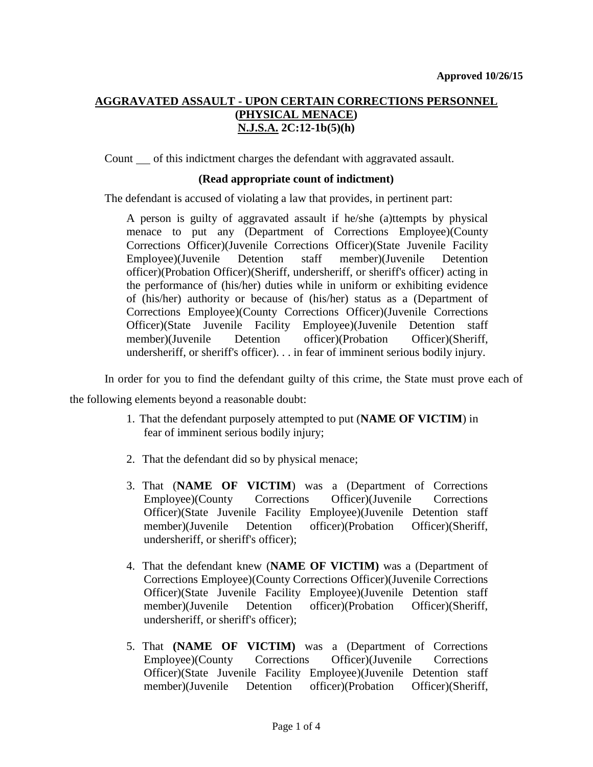# **AGGRAVATED ASSAULT - UPON CERTAIN CORRECTIONS PERSONNEL (PHYSICAL MENACE) N.J.S.A. 2C:12-1b(5)(h)**

Count of this indictment charges the defendant with aggravated assault.

#### **(Read appropriate count of indictment)**

The defendant is accused of violating a law that provides, in pertinent part:

A person is guilty of aggravated assault if he/she (a)ttempts by physical menace to put any (Department of Corrections Employee)(County Corrections Officer)(Juvenile Corrections Officer)(State Juvenile Facility Employee)(Juvenile Detention staff member)(Juvenile Detention officer)(Probation Officer)(Sheriff, undersheriff, or sheriff's officer) acting in the performance of (his/her) duties while in uniform or exhibiting evidence of (his/her) authority or because of (his/her) status as a (Department of Corrections Employee)(County Corrections Officer)(Juvenile Corrections Officer)(State Juvenile Facility Employee)(Juvenile Detention staff member)(Juvenile Detention officer)(Probation Officer)(Sheriff, undersheriff, or sheriff's officer). . . in fear of imminent serious bodily injury.

In order for you to find the defendant guilty of this crime, the State must prove each of

the following elements beyond a reasonable doubt:

- 1. That the defendant purposely attempted to put (**NAME OF VICTIM**) in fear of imminent serious bodily injury;
- 2. That the defendant did so by physical menace;
- 3. That (**NAME OF VICTIM**) was a (Department of Corrections Employee)(County Corrections Officer)(Juvenile Corrections Officer)(State Juvenile Facility Employee)(Juvenile Detention staff member)(Juvenile Detention officer)(Probation Officer)(Sheriff, undersheriff, or sheriff's officer);
- 4. That the defendant knew (**NAME OF VICTIM)** was a (Department of Corrections Employee)(County Corrections Officer)(Juvenile Corrections Officer)(State Juvenile Facility Employee)(Juvenile Detention staff member)(Juvenile Detention officer)(Probation Officer)(Sheriff, undersheriff, or sheriff's officer);
- 5. That **(NAME OF VICTIM)** was a (Department of Corrections Employee)(County Corrections Officer)(Juvenile Corrections Officer)(State Juvenile Facility Employee)(Juvenile Detention staff member)(Juvenile Detention officer)(Probation Officer)(Sheriff,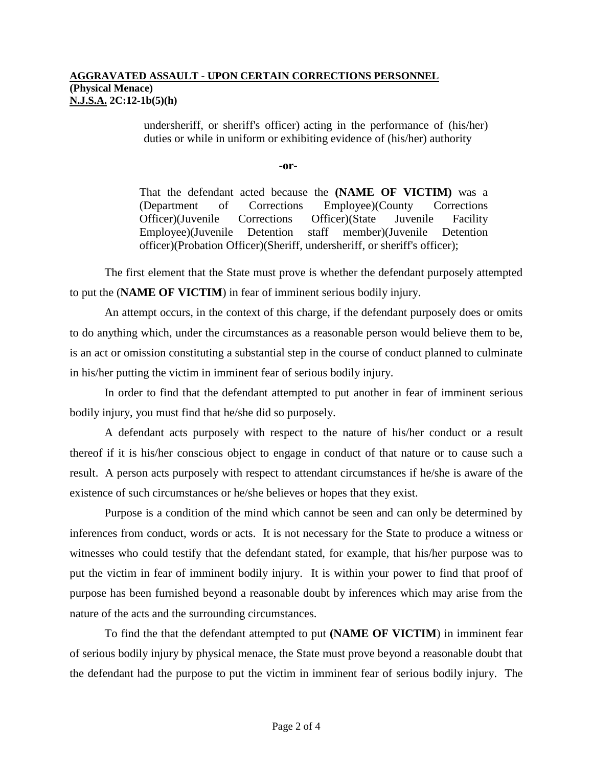#### **AGGRAVATED ASSAULT - UPON CERTAIN CORRECTIONS PERSONNEL (Physical Menace) N.J.S.A. 2C:12-1b(5)(h)**

undersheriff, or sheriff's officer) acting in the performance of (his/her) duties or while in uniform or exhibiting evidence of (his/her) authority

**-or-**

That the defendant acted because the **(NAME OF VICTIM)** was a (Department of Corrections Employee)(County Corrections Officer)(Juvenile Corrections Officer)(State Juvenile Facility Employee)(Juvenile Detention staff member)(Juvenile Detention officer)(Probation Officer)(Sheriff, undersheriff, or sheriff's officer);

The first element that the State must prove is whether the defendant purposely attempted to put the (**NAME OF VICTIM**) in fear of imminent serious bodily injury.

An attempt occurs, in the context of this charge, if the defendant purposely does or omits to do anything which, under the circumstances as a reasonable person would believe them to be, is an act or omission constituting a substantial step in the course of conduct planned to culminate in his/her putting the victim in imminent fear of serious bodily injury.

In order to find that the defendant attempted to put another in fear of imminent serious bodily injury, you must find that he/she did so purposely.

A defendant acts purposely with respect to the nature of his/her conduct or a result thereof if it is his/her conscious object to engage in conduct of that nature or to cause such a result. A person acts purposely with respect to attendant circumstances if he/she is aware of the existence of such circumstances or he/she believes or hopes that they exist.

Purpose is a condition of the mind which cannot be seen and can only be determined by inferences from conduct, words or acts. It is not necessary for the State to produce a witness or witnesses who could testify that the defendant stated, for example, that his/her purpose was to put the victim in fear of imminent bodily injury. It is within your power to find that proof of purpose has been furnished beyond a reasonable doubt by inferences which may arise from the nature of the acts and the surrounding circumstances.

To find the that the defendant attempted to put **(NAME OF VICTIM**) in imminent fear of serious bodily injury by physical menace, the State must prove beyond a reasonable doubt that the defendant had the purpose to put the victim in imminent fear of serious bodily injury. The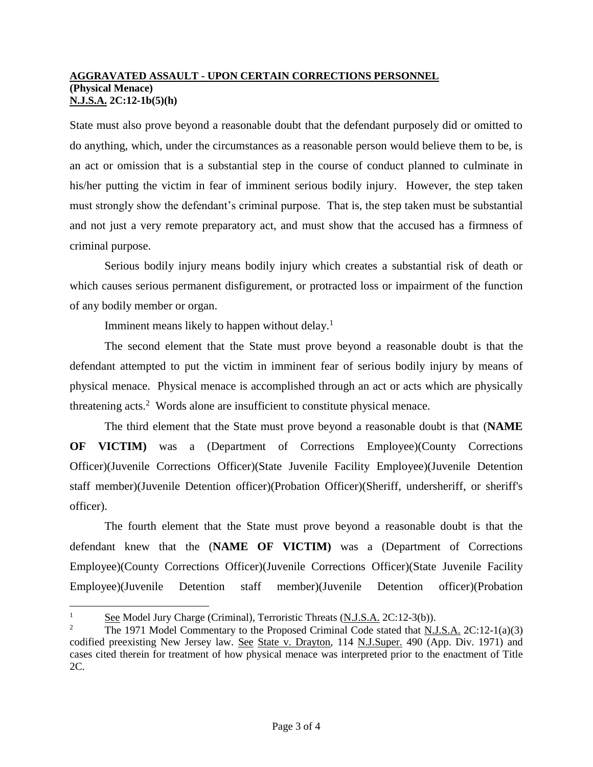### **AGGRAVATED ASSAULT - UPON CERTAIN CORRECTIONS PERSONNEL (Physical Menace) N.J.S.A. 2C:12-1b(5)(h)**

State must also prove beyond a reasonable doubt that the defendant purposely did or omitted to do anything, which, under the circumstances as a reasonable person would believe them to be, is an act or omission that is a substantial step in the course of conduct planned to culminate in his/her putting the victim in fear of imminent serious bodily injury. However, the step taken must strongly show the defendant's criminal purpose. That is, the step taken must be substantial and not just a very remote preparatory act, and must show that the accused has a firmness of criminal purpose.

Serious bodily injury means bodily injury which creates a substantial risk of death or which causes serious permanent disfigurement, or protracted loss or impairment of the function of any bodily member or organ.

Imminent means likely to happen without delay.<sup>1</sup>

The second element that the State must prove beyond a reasonable doubt is that the defendant attempted to put the victim in imminent fear of serious bodily injury by means of physical menace. Physical menace is accomplished through an act or acts which are physically threatening acts.<sup>2</sup> Words alone are insufficient to constitute physical menace.

The third element that the State must prove beyond a reasonable doubt is that (**NAME OF VICTIM)** was a (Department of Corrections Employee)(County Corrections Officer)(Juvenile Corrections Officer)(State Juvenile Facility Employee)(Juvenile Detention staff member)(Juvenile Detention officer)(Probation Officer)(Sheriff, undersheriff, or sheriff's officer).

The fourth element that the State must prove beyond a reasonable doubt is that the defendant knew that the (**NAME OF VICTIM)** was a (Department of Corrections Employee)(County Corrections Officer)(Juvenile Corrections Officer)(State Juvenile Facility Employee)(Juvenile Detention staff member)(Juvenile Detention officer)(Probation

 $\overline{a}$ 

<sup>1</sup> See Model Jury Charge (Criminal), Terroristic Threats (N.J.S.A. 2C:12-3(b)).

<sup>2</sup> The 1971 Model Commentary to the Proposed Criminal Code stated that N.J.S.A. 2C:12-1(a)(3) codified preexisting New Jersey law. See State v. Drayton, 114 N.J.Super. 490 (App. Div. 1971) and cases cited therein for treatment of how physical menace was interpreted prior to the enactment of Title 2C.